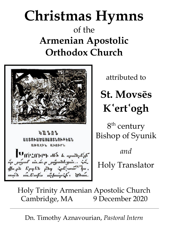## **Christmas Hymns** of the **Armenian Apostolic Orthodox Church**



 $\mathcal{L} \cap \mathcal{L} \cap \mathcal{L}$ ԱՍՏՈՒԱԾԱՑԱՑՏՆՈՒԹԵԱՆ anash, annet Unerner also be apudled if որ *յայսւ*ք առ*մուր յա՞յանեցառ.. Հմ.*<br>վիորն նրդնի ընդ Հրեչանք<sup>ի կ</sup>ա in meliantin mishong-sh you

attributed to

**St. Movsēs K**ʿ **ert**ʿ **ogh**

 $8^{\rm th}$  century Bishop of Syunik *and* Holy Translator

Holy Trinity Armenian Apostolic Church Cambridge, MA 9 December 2020

Dn. Timothy Aznavourian, *Pastoral Intern*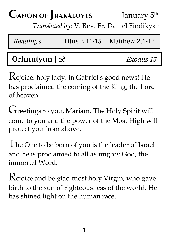### **CANON OF RAKALUYTS** January 5<sup>th</sup> *Translated by:* V. Rev. Fr. Daniel Findikyan

| <i>Readings</i> | Titus $2.11 - 15$ Matthew $2.1 - 12$ |
|-----------------|--------------------------------------|
|                 |                                      |

### Orhnutyun | բձ *Exodus 15*

Rejoice, holy lady, in Gabriel's good news! He has proclaimed the coming of the King, the Lord of heaven.

Greetings to you, Mariam. The Holy Spirit will come to you and the power of the Most High will protect you from above.

The One to be born of you is the leader of Israel and he is proclaimed to all as mighty God, the immortal Word.

Rejoice and be glad most holy Virgin, who gave birth to the sun of righteousness of the world. He has shined light on the human race.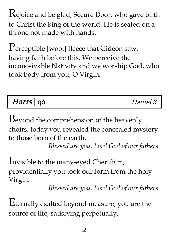Rejoice and be glad, Secure Door, who gave birth to Christ the king of the world. He is seated on a throne not made with hands.

Perceptible [wool] fleece that Gideon saw, having faith before this. We perceive the inconceivable Nativity and we worship God, who took body from you, O Virgin.

| Harts   qo |  |
|------------|--|
|------------|--|

Daniel 3

Beyond the comprehension of the heavenly choirs, today you revealed the concealed mystery to those born of the earth.

*Blessed are you, Lord God of our fathers.*

Invisible to the many-eyed Cherubim, providentially you took our form from the holy Virgin.

*Blessed are you, Lord God of our fathers.*

Eternally exalted beyond measure, you are the source of life, satisfying perpetually.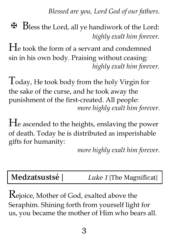*Blessed are you, Lord God of our fathers.*

✠ Bless the Lord, all ye handiwork of the Lord: *highly exalt him forever.*

H<sup>e</sup> took the form of <sup>a</sup> servant and condemned sin in his own body. Praising without ceasing: *highly exalt him forever.*

Today, He took body from the holy Virgin for the sake of the curse, and he took away the punishment of the first-created. All people: *more highly exalt him forever.*

H<sup>e</sup> ascended to the heights, enslaving the power of death. Today he is distributed as imperishable gifts for humanity:

*more highly exalt him forever.*

Medzatsustsé | Luke 1 [The Magnificat]

Rejoice, Mother of God, exalted above the Seraphim. Shining forth from yourself light for us, you became the mother of Him who bears all.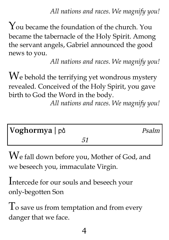*All nations and races. We magnify you!*

You became the foundation of the church. You became the tabernacle of the Holy Spirit. Among the servant angels, Gabriel announced the good news to you.

*All nations and races. We magnify you!*

We behold the terrifying yet wondrous mystery revealed. Conceived of the Holy Spirit, you gave birth to God the Word in the body.

*All nations and races. We magnify you!*

| Voghormya   på |  | Psalm |
|----------------|--|-------|
|                |  |       |

W<sup>e</sup> fall down before you, Mother of God, and we beseech you, immaculate Virgin.

Intercede for our souls and beseech your only-begotten Son

To save us from temptation and from every danger that we face.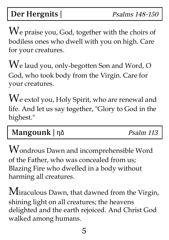Der Hergnits | Psalms 148-150

We praise you, God, together with the choirs of bodiless ones who dwell with you on high. Care for your creatures.

W<sup>e</sup> laud you, only-begotten Son and Word, <sup>O</sup> God, who took body from the Virgin. Care for your creatures.

We extol you, Holy Spirit, who are renewal and life. And let us say together, "Glory to God in the highest."

|--|

Wondrous Dawn and incomprehensible Word of the Father, who was concealed from us; Blazing Fire who dwelled in a body without harming all creatures.

Miraculous Dawn, that dawned from the Virgin, shining light on all creatures; the heavens delighted and the earth rejoiced. And Christ God walked among humans.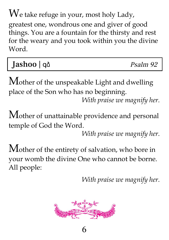$W$ e take refuge in your, most holy Lady, greatest one, wondrous one and giver of good things. You are a fountain for the thirsty and rest for the weary and you took within you the divine Word.

Jashoo | qo

Mother of the unspeakable Light and dwelling place of the Son who has no beginning.

*With praise we magnify her.*

Mother of unattainable providence and personal temple of God the Word.

*With praise we magnify her.*

Mother of the entirety of salvation, who bore in your womb the divine One who cannot be borne. All people:

*With praise we magnify her.*



6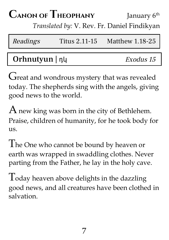#### $\Gamma$ **CANON OF THEOPHANY** January 6<sup>th</sup>

*Translated by:* V. Rev. Fr. Daniel Findikyan

| Readings             | Titus 2.11-15 | Matthew $1.18-25$ |
|----------------------|---------------|-------------------|
|                      |               |                   |
| Orhnutyun $  \eta  $ |               | Exodus 15         |

Great and wondrous mystery that was revealed today. The shepherds sing with the angels, giving good news to the world.

 $A$  new king was born in the city of Bethlehem. Praise, children of humanity, for he took body for us.

The One who cannot be bound by heaven or earth was wrapped in swaddling clothes. Never parting from the Father, he lay in the holy cave.

 $\Gamma$  oday heaven above delights in the dazzling good news, and all creatures have been clothed in salvation.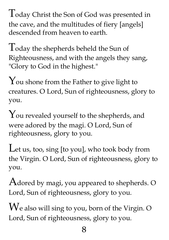Today Christ the Son of God was presented in the cave, and the multitudes of fiery [angels] descended from heaven to earth.

Today the shepherds beheld the Sun of Righteousness, and with the angels they sang, "Glory to God in the highest."

 $\gamma$  ou shone from the Father to give light to creatures. O Lord, Sun of righteousness, glory to you.

You revealed yourself to the shepherds, and were adored by the magi. O Lord, Sun of righteousness, glory to you.

Let us, too, sing [to you], who took body from the Virgin. O Lord, Sun of righteousness, glory to you.

 $A$ dored by magi, you appeared to shepherds. O Lord, Sun of righteousness, glory to you.

W<sup>e</sup> also will sing to you, born of the Virgin. <sup>O</sup> Lord, Sun of righteousness, glory to you.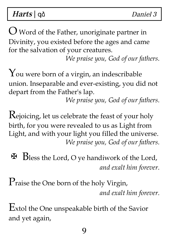Harts | quantity | quantity | quantity | quantity | quantity | quantity | quantity | quantity | quantity | quantity  $D$  and  $\partial$  3

 $\bigcup$  Word of the Father, unoriginate partner in Divinity, you existed before the ages and came for the salvation of your creatures.

*We praise you, God of our fathers.*

You were born of <sup>a</sup> virgin, an indescribable union. Inseparable and ever-existing, you did not depart from the Father's lap.

*We praise you, God of our fathers.*

Rejoicing, let us celebrate the feast of your holy birth, for you were revealed to us as Light from Light, and with your light you filled the universe. *We praise you, God of our fathers.*

- ✠ Bless the Lord, <sup>O</sup> ye handiwork of the Lord, *and exalt him forever.*
- Praise the One born of the holy Virgin, *and exalt him forever.*

Extol the One unspeakable birth of the Savior and yet again,

9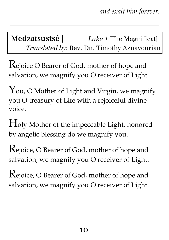Medzatsustsé | Luke 1 [The Magnificat] Translated by: Rev. Dn. Timothy Aznavourian

Rejoice <sup>O</sup> Bearer of God, mother of hope and salvation, we magnify you O receiver of Light.

You, O Mother of Light and Virgin, we magnify you O treasury of Life with a rejoiceful divine voice.

Holy Mother of the impeccable Light, honored by angelic blessing do we magnify you.

Rejoice, <sup>O</sup> Bearer of God, mother of hope and salvation, we magnify you O receiver of Light.

Rejoice, <sup>O</sup> Bearer of God, mother of hope and salvation, we magnify you O receiver of Light.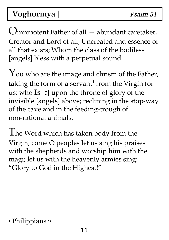## Voghormya | Psalm 51

Omnipotent Father of all — abundant caretaker, Creator and Lord of all; Uncreated and essence of all that exists; Whom the class of the bodiless [angels] bless with a perpetual sound.

You who are the image and chrism of the Father, taking the form of a servant<sup>1</sup> from the Virgin for us; who **I<sup>S</sup>** [Է] upon the throne of glory of the invisible [angels] above; reclining in the stop-way of the cave and in the feeding-trough of non-rational animals.

The Word which has taken body from the Virgin, come O peoples let us sing his praises with the shepherds and worship him with the magi; let us with the heavenly armies sing: "Glory to God in the Highest!"

<sup>1</sup> Philippians 2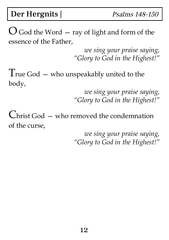Der Hergnits | Psalms 148-150

 $\bigcup$  God the Word  $-$  ray of light and form of the essence of the Father,

> *we sing your praise saying, "Glory to God in the Highest!"*

True God  $-$  who unspeakably united to the body,

> *we sing your praise saying, "Glory to God in the Highest!"*

Christ God — who removed the condemnation of the curse,

> *we sing your praise saying, "Glory to God in the Highest!"*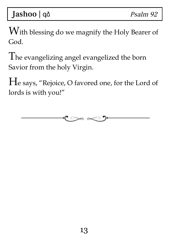With blessing do we magnify the Holy Bearer of God.

The evangelizing angel evangelized the born Savior from the holy Virgin.

H<sup>e</sup> says, "Rejoice, O favored one, for the Lord of lords is with you!"

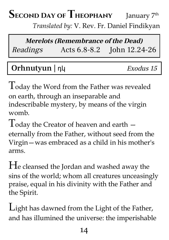# SECOND DAY OF THEOPHANY January 7<sup>th</sup>

*Translated by:* V. Rev. Fr. Daniel Findikyan

### **Merelots (Remembrance of the Dead)** Readings Acts 6.8-8.2 John 12.24-26

### Orhnutyun | ηկ *Exodus 15*

Today the Word from the Father was revealed on earth, through an inseparable and indescribable mystery, by means of the virgin womb.

 $\int\int$  oday the Creator of heaven and earth  $$ eternally from the Father, without seed from the Virgin—was embraced as a child in his mother's arms.

H<sup>e</sup> cleansed the Jordan and washed away the sins of the world; whom all creatures unceasingly praise, equal in his divinity with the Father and the Spirit.

Light has dawned from the Light of the Father, and has illumined the universe: the imperishable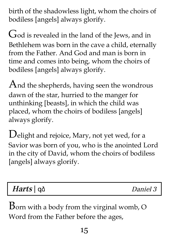birth of the shadowless light, whom the choirs of bodiless [angels] always glorify.

God is revealed in the land of the Jews, and in Bethlehem was born in the cave a child, eternally from the Father. And God and man is born in time and comes into being, whom the choirs of bodiless [angels] always glorify.

And the shepherds, having seen the wondrous dawn of the star, hurried to the manger for unthinking [beasts], in which the child was placed, whom the choirs of bodiless [angels] always glorify.

Delight and rejoice, Mary, not yet wed, for <sup>a</sup> Savior was born of you, who is the anointed Lord in the city of David, whom the choirs of bodiless [angels] always glorify.

### Harts | αδ de Daniel 3

Born with <sup>a</sup> body from the virginal womb, <sup>O</sup> Word from the Father before the ages,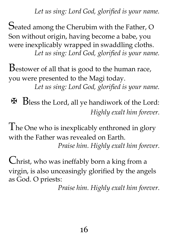*Let us sing: Lord God, glorified is your name.*

Seated among the Cherubim with the Father, <sup>O</sup> Son without origin, having become a babe, you were inexplicably wrapped in swaddling cloths. *Let us sing: Lord God, glorified is your name.*

Bestower of all that is good to the human race, you were presented to the Magi today.

*Let us sing: Lord God, glorified is your name.*

✠ Bless the Lord, all ye handiwork of the Lord: *Highly exalt him forever.*

The One who is inexplicably enthroned in glory with the Father was revealed on Earth. *Praise him. Highly exalt him forever.*

Christ, who was ineffably born <sup>a</sup> king from <sup>a</sup> virgin, is also unceasingly glorified by the angels as God. O priests:

*Praise him. Highly exalt him forever.*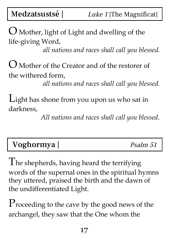$\bigcup$  Mother, light of Light and dwelling of the life-giving Word,

*all nations and races shall call you blessed.*

O Mother of the Creator and of the restorer of the withered form,

*all nations and races shall call you blessed.*

Light has shone from you upon us who sat in darkness,

*All nations and races shall call you blessed.*

### Voghormya | Psalm 51

The shepherds, having heard the terrifying words of the supernal ones in the spiritual hymns they uttered, praised the birth and the dawn of the undifferentiated Light.

Proceeding to the cave by the good news of the archangel, they saw that the One whom the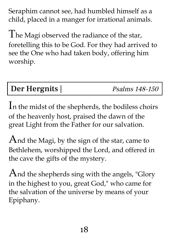Seraphim cannot see, had humbled himself as a child, placed in a manger for irrational animals.

The Magi observed the radiance of the star, foretelling this to be God. For they had arrived to see the One who had taken body, offering him worship.

### Der Hergnits | Psalms 148-150

I<sup>n</sup> the midst of the shepherds, the bodiless choirs of the heavenly host, praised the dawn of the great Light from the Father for our salvation.

And the Magi, by the sign of the star, came to Bethlehem, worshipped the Lord, and offered in the cave the gifts of the mystery.

 $A$ nd the shepherds sing with the angels, "Glory in the highest to you, great God, " who came for the salvation of the universe by means of your Epiphany.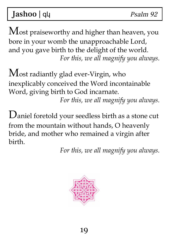Jashoo | que estable psalm 92

Most praiseworthy and higher than heaven, you bore in your womb the unapproachable Lord, and you gave birth to the delight of the world. *For this, we all magnify you always.*

Most radiantly glad ever-Virgin, who inexplicably conceived the Word incontainable Word, giving birth to God incarnate.

*For this, we all magnify you always.*

Daniel foretold your seedless birth as <sup>a</sup> stone cut from the mountain without hands, O heavenly bride, and mother who remained a virgin after birth.

*For this, we all magnify you always.*

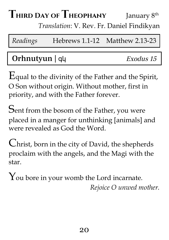#### $T$ **hird** Day of  $T$ **heophany** January 8<sup>th</sup>

*Translation*: V. Rev. Fr. Daniel Findikyan

*Readings* Hebrews 1.1-12 Matthew 2.13-23

### Orhnutyun | գկ *Exodus 15*

Equal to the divinity of the Father and the Spirit, O Son without origin. Without mother, first in priority, and with the Father forever.

Sent from the bosom of the Father, you were placed in a manger for unthinking [animals] and were revealed as God the Word.

Christ, born in the city of David, the shepherds proclaim with the angels, and the Magi with the star.

You bore in your womb the Lord incarnate. *Rejoice O unwed mother.*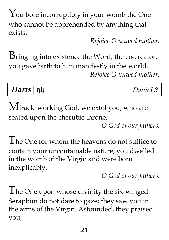You bore incorruptibly in your womb the One who cannot be apprehended by anything that exists.

*Rejoice O unwed mother.*

Bringing into existence the Word, the co-creator, you gave birth to him manifestly in the world. *Rejoice O unwed mother.*

| Harts $\vert \eta \vert$ | Daniel 3 |
|--------------------------|----------|
|--------------------------|----------|

Miracle working God, we extol you, who are seated upon the cherubic throne,

*O God of our fathers.*

The One for whom the heavens do not suffice to contain your uncontainable nature, you dwelled in the womb of the Virgin and were born inexplicably,

*O God of our fathers.*

The One upon whose divinity the six-winged Seraphim do not dare to gaze; they saw you in the arms of the Virgin. Astounded, they praised you,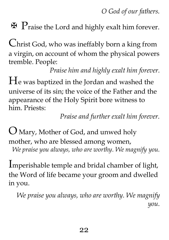*O God of our fathers.*

 $\mathbf F$   $\mathbf P$ raise the Lord and highly exalt him forever.

Christ God, who was ineffably born <sup>a</sup> king from a virgin, on account of whom the physical powers tremble. People:

*Praise him and highly exalt him forever.*

 $H<sub>e</sub>$  was baptized in the Jordan and washed the universe of its sin; the voice of the Father and the appearance of the Holy Spirit bore witness to him. Priests:

*Praise and further exalt him forever.*

 $\bigcup$  Mary, Mother of God, and unwed holy mother, who are blessed among women, *We praise you always, who are worthy. We magnify you.*

Imperishable temple and bridal chamber of light, the Word of life became your groom and dwelled in you.

*We praise you always, who are worthy. We magnify you.*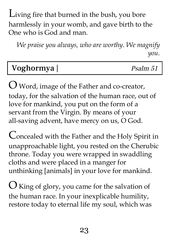Living fire that burned in the bush, you bore harmlessly in your womb, and gave birth to the One who is God and man.

*We praise you always, who are worthy. We magnify you.*

### Voghormya | Psalm 51

O Word, image of the Father and co-creator, today, for the salvation of the human race, out of love for mankind, you put on the form of a servant from the Virgin. By means of your all-saving advent, have mercy on us, O God.

Concealed with the Father and the Holy Spirit in unapproachable light, you rested on the Cherubic throne. Today you were wrapped in swaddling cloths and were placed in a manger for unthinking [animals] in your love for mankind.

 $\bigcup$  King of glory, you came for the salvation of the human race. In your inexplicable humility, restore today to eternal life my soul, which was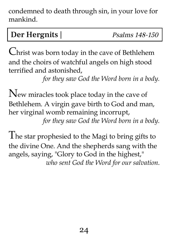condemned to death through sin, in your love for mankind.

### Der Hergnits | Psalms 148-150

Christ was born today in the cave of Bethlehem and the choirs of watchful angels on high stood terrified and astonished,

*for they saw God the Word born in a body.*

New miracles took place today in the cave of Bethlehem. A virgin gave birth to God and man, her virginal womb remaining incorrupt,

*for they saw God the Word born in a body.*

The star prophesied to the Magi to bring gifts to the divine One. And the shepherds sang with the angels, saying, "Glory to God in the highest, " *who sent God the Word for our salvation.*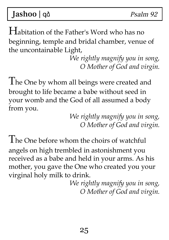Jashoo | qo

Habitation of the Father's Word who has no beginning, temple and bridal chamber, venue of the uncontainable Light,

> *We rightly magnify you in song, O Mother of God and virgin.*

The One by whom all beings were created and brought to life became a babe without seed in your womb and the God of all assumed a body from you.

> *We rightly magnify you in song, O Mother of God and virgin.*

The One before whom the choirs of watchful angels on high trembled in astonishment you received as a babe and held in your arms. As his mother, you gave the One who created you your virginal holy milk to drink.

> *We rightly magnify you in song, O Mother of God and virgin.*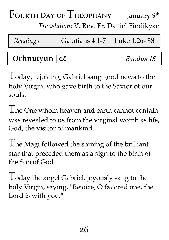### $\Gamma$ **OURTH** DAY OF **THEOPHANY** January 9<sup>th</sup> *Translation*: V. Rev. Fr. Daniel Findikyan

| Readings       | Galatians 4.1-7 Luke 1.26-38 |           |
|----------------|------------------------------|-----------|
|                |                              |           |
| Orhnutyun   qo |                              | Exodus 15 |

Today, rejoicing, Gabriel sang good news to the holy Virgin, who gave birth to the Savior of our souls.

The One whom heaven and earth cannot contain was revealed to us from the virginal womb as life, God, the visitor of mankind.

The Magi followed the shining of the brilliant star that preceded them as a sign to the birth of the Son of God.

 $\Gamma$  oday the angel Gabriel, joyously sang to the holy Virgin, saying, "Rejoice, O favored one, the Lord is with you."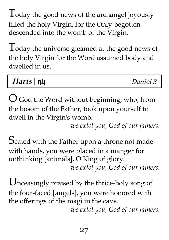Today the good news of the archangel joyously filled the holy Virgin, for the Only-begotten descended into the womb of the Virgin.

Today the universe gleamed at the good news of the holy Virgin for the Word assumed body and dwelled in us.

| Harts $\vert \eta \vert$ | Daniel 3 |
|--------------------------|----------|
|                          |          |

 $O$  God the Word without beginning, who, from the bosom of the Father, took upon yourself to dwell in the Virgin's womb.

*we extol you, God of our fathers.*

Seated with the Father upon a throne not made with hands, you were placed in a manger for unthinking [animals], O King of glory. *we extol you, God of our fathers.*

Unceasingly praised by the thrice-holy song of the four-faced [angels], you were honored with the offerings of the magi in the cave.

*we extol you, God of our fathers.*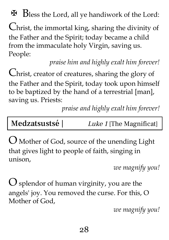✠ Bless the Lord, all ye handiwork of the Lord:

Christ, the immortal king, sharing the divinity of the Father and the Spirit; today became a child from the immaculate holy Virgin, saving us. People:

*praise him and highly exalt him forever!*

Christ, creator of creatures, sharing the glory of the Father and the Spirit, today took upon himself to be baptized by the hand of a terrestrial [man], saving us. Priests:

*praise and highly exalt him forever!*

O Mother of God, source of the unending Light that gives light to people of faith, singing in unison,

*we magnify you!*

 $\bigcirc$  splendor of human virginity, you are the angels' joy. You removed the curse. For this, O Mother of God,

*we magnify you!*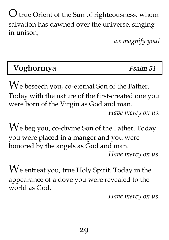O true Orient of the Sun of righteousness, whom salvation has dawned over the universe, singing in unison,

*we magnify you!*

## Voghormya | Psalm 51

We beseech you, co-eternal Son of the Father. Today with the nature of the first-created one you were born of the Virgin as God and man. *Have mercy on us.*

We beg you, co-divine Son of the Father. Today you were placed in a manger and you were honored by the angels as God and man. *Have mercy on us.*

We entreat you, true Holy Spirit. Today in the appearance of a dove you were revealed to the world as God.

*Have mercy on us.*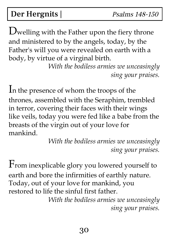Der Hergnits | Psalms 148-150

Dwelling with the Father upon the fiery throne and ministered to by the angels, today, by the Father's will you were revealed on earth with a body, by virtue of a virginal birth.

> *With the bodiless armies we unceasingly sing your praises.*

I<sup>n</sup> the presence of whom the troops of the thrones, assembled with the Seraphim, trembled in terror, covering their faces with their wings like veils, today you were fed like a babe from the breasts of the virgin out of your love for mankind.

*With the bodiless armies we unceasingly sing your praises.*

From inexplicable glory you lowered yourself to earth and bore the infirmities of earthly nature. Today, out of your love for mankind, you restored to life the sinful first father.

*With the bodiless armies we unceasingly sing your praises.*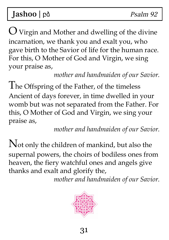## Jashoo | på Psalm 92

 $\bigcup$  Virgin and Mother and dwelling of the divine incarnation, we thank you and exalt you, who gave birth to the Savior of life for the human race. For this, O Mother of God and Virgin, we sing your praise as,

*mother and handmaiden of our Savior.*

The Offspring of the Father, of the timeless Ancient of days forever, in time dwelled in your womb but was not separated from the Father. For this, O Mother of God and Virgin, we sing your praise as,

*mother and handmaiden of our Savior.*

Not only the children of mankind, but also the supernal powers, the choirs of bodiless ones from heaven, the fiery watchful ones and angels give thanks and exalt and glorify the,

*mother and handmaiden of our Savior.*

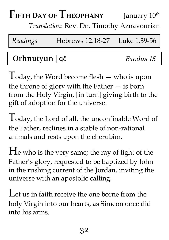#### $F$ **ifth Day of Theophany** January 10<sup>th</sup>

*Translation*: Rev. Dn. Timothy Aznavourian

| Readings | Hebrews 12.18-27 Luke 1.39-56 |  |
|----------|-------------------------------|--|
|----------|-------------------------------|--|

### Orhnutyun | qδ *Exodus 15*

 $T$ oday, the Word become flesh  $-$  who is upon the throne of glory with the Father  $-$  is born from the Holy Virgin, [in turn] giving birth to the gift of adoption for the universe.

Today, the Lord of all, the unconfinable Word of the Father, reclines in a stable of non-rational animals and rests upon the cherubim.

H<sup>e</sup> who is the very same; the ray of light of the Father's glory, requested to be baptized by John in the rushing current of the Jordan, inviting the universe with an apostolic calling.

Let us in faith receive the one borne from the holy Virgin into our hearts, as Simeon once did into his arms.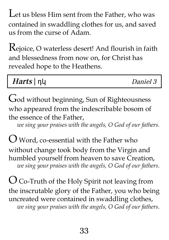Let us bless Him sent from the Father, who was contained in swaddling clothes for us, and saved us from the curse of Adam.

Rejoice, <sup>O</sup> waterless desert! And flourish in faith and blessedness from now on, for Christ has revealed hope to the Heathens.

| Harts $\vert \eta \vert$ | Daniel 3 |
|--------------------------|----------|
|--------------------------|----------|

God without beginning, Sun of Righteousness who appeared from the indescribable bosom of the essence of the Father,

*we sing your praises with the angels, O God of our fathers.*

O Word, co-essential with the Father who without change took body from the Virgin and humbled yourself from heaven to save Creation, *we sing your praises with the angels, O God of our fathers.*

 $\bigcup$  Co-Truth of the Holy Spirit not leaving from the inscrutable glory of the Father, you who being uncreated were contained in swaddling clothes, *we sing your praises with the angels, O God of our fathers.*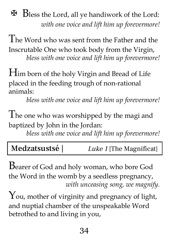✠ Bless the Lord, all ye handiwork of the Lord: *with one voice and lift him up forevermore!*

The Word who was sent from the Father and the Inscrutable One who took body from the Virgin, *bless with one voice and lift him up forevermore!*

Him born of the holy Virgin and Bread of Life placed in the feeding trough of non-rational animals:

*bless with one voice and lift him up forevermore!*

The one who was worshipped by the magi and baptized by John in the Jordan:

*bless with one voice and lift him up forevermore!*

Bearer of God and holy woman, who bore God the Word in the womb by a seedless pregnancy, *with unceasing song, we magnify.*

You, mother of virginity and pregnancy of light, and nuptial chamber of the unspeakable Word betrothed to and living in you,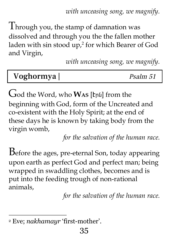*with unceasing song, we magnify.*

Through you, the stamp of damnation was dissolved and through you the the fallen mother laden with sin stood up, 2 for which Bearer of God and Virgin,

*with unceasing song, we magnify.*

| Voghormya | Psalm 51 |
|-----------|----------|
|-----------|----------|

God the Word, who **WAS** [Էրն] from the beginning with God, form of the Uncreated and co-existent with the Holy Spirit; at the end of these days he is known by taking body from the virgin womb,

*for the salvation of the human race.*

Before the ages, pre-eternal Son, today appearing upon earth as perfect God and perfect man; being wrapped in swaddling clothes, becomes and is put into the feeding trough of non-rational animals,

*for the salvation of the human race.*

<sup>2</sup> Eve; *nakhamayr* 'first-mother'.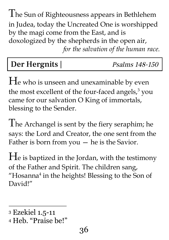The Sun of Righteousness appears in Bethlehem in Judea, today the Uncreated One is worshipped by the magi come from the East, and is doxologized by the shepherds in the open air, *for the salvation of the human race.*

### Der Hergnits | Psalms 148-150

H<sup>e</sup> who is unseen and unexaminable by even the most excellent of the four-faced angels, <sup>3</sup> you came for our salvation O King of immortals, blessing to the Sender.

The Archangel is sent by the fiery seraphim; he says: the Lord and Creator, the one sent from the Father is born from you — he is the Savior.

H<sup>e</sup> is baptized in the Jordan, with the testimony of the Father and Spirit. The children sang, "Hosanna $<sup>4</sup>$  in the heights! Blessing to the Son of</sup> David!"

<sup>3</sup> Ezekiel 1.5-11

<sup>4</sup> Heb. "Praise be!"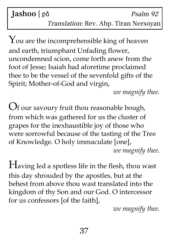### Jashoo | på Psalm 92 Translation: Rev. Abp. Tiran Nersoyan

You are the incomprehensible king of heaven and earth, triumphant Unfading flower, uncondemned scion, come forth anew from the foot of Jesse; Isaiah had aforetime proclaimed thee to be the vessel of the sevenfold gifts of the Spirit; Mother-of-God and virgin,

*we magnify thee.*

Of our savoury fruit thou reasonable bough, from which was gathered for us the cluster of grapes for the inexhaustible joy of those who were sorrowful because of the tasting of the Tree of Knowledge. O holy immaculate [one], *we magnify thee.*

Having led <sup>a</sup> spotless life in the flesh, thou wast this day shrouded by the apostles, but at the behest from above thou wast translated into the kingdom of thy Son and our God. O intercessor for us confessors [of the faith],

*we magnify thee.*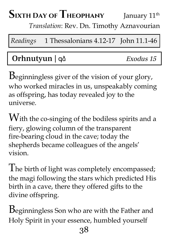#### $S$ **ixth Day of Theophany** January 11<sup>th</sup>

*Translation*: Rev. Dn. Timothy Aznavourian

*Readings* 1 Thessalonians 4.12-17 John 11.1-46

### Orhnutyun | գձ Exodus <sup>15</sup>

Beginningless giver of the vision of your glory, who worked miracles in us, unspeakably coming as offspring, has today revealed joy to the universe.

With the co-singing of the bodiless spirits and a fiery, glowing column of the transparent fire-bearing cloud in the cave; today the shepherds became colleagues of the angels' vision.

The birth of light was completely encompassed; the magi following the stars which predicted His birth in a cave, there they offered gifts to the divine offspring.

Beginningless Son who are with the Father and Holy Spirit in your essence, humbled yourself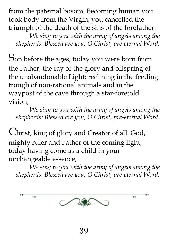from the paternal bosom. Becoming human you took body from the Virgin, you cancelled the triumph of the death of the sins of the forefather.

*We sing to you with the army of angels among the shepherds: Blessed are you, O Christ, pre-eternal Word.*

Son before the ages, today you were born from the Father, the ray of the glory and offspring of the unabandonable Light; reclining in the feeding trough of non-rational animals and in the waypost of the cave through a star-foretold vision,

*We sing to you with the army of angels among the shepherds: Blessed are you, O Christ, pre-eternal Word.*

Christ, king of glory and Creator of all. God, mighty ruler and Father of the coming light, today having come as a child in your unchangeable essence,

*We sing to you with the army of angels among the shepherds: Blessed are you, O Christ, pre-eternal Word.*

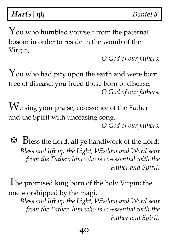Harts | ημ

You who humbled yourself from the paternal bosom in order to reside in the womb of the Virgin,

*O God of our fathers.*

 $\gamma$  ou who had pity upon the earth and were born free of disease, you freed those born of disease, *O God of our fathers.*

We sing your praise, co-essence of the Father and the Spirit with unceasing song, *O God of our fathers.*

✠ Bless the Lord, all ye handiwork of the Lord: *Bless and lift up the Light, Wisdom and Word sent from the Father, him who is co-essential with the Father and Spirit.*

The promised king born of the holy Virgin; the one worshipped by the magi,

*Bless and lift up the Light, Wisdom and Word sent from the Father, him who is co-essential with the Father and Spirit.*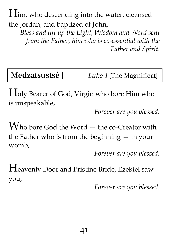Him, who descending into the water, cleansed the Jordan; and baptized of John,

*Bless and lift up the Light, Wisdom and Word sent from the Father, him who is co-essential with the Father and Spirit.*

Medzatsustsé | Luke 1 [The Magnificat]

Holy Bearer of God, Virgin who bore Him who is unspeakable,

*Forever are you blessed.*

Who bore God the Word – the co-Creator with the Father who is from the beginning  $-$  in your womb,

*Forever are you blessed.*

Heavenly Door and Pristine Bride, Ezekiel saw you,

*Forever are you blessed.*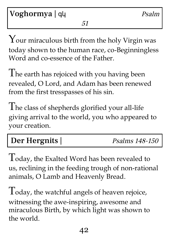Your miraculous birth from the holy Virgin was today shown to the human race, co-Beginningless Word and co-essence of the Father.

The earth has rejoiced with you having been revealed, O Lord, and Adam has been renewed from the first tresspasses of his sin.

The class of shepherds glorified your all-life giving arrival to the world, you who appeared to your creation.

Der Hergnits | Psalms 148-150

Today, the Exalted Word has been revealed to us, reclining in the feeding trough of non-rational animals, O Lamb and Heavenly Bread.

Today, the watchful angels of heaven rejoice, witnessing the awe-inspiring, awesome and miraculous Birth, by which light was shown to the world.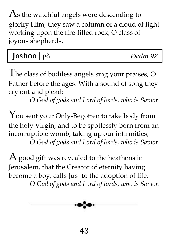$\text{As}$  the watchful angels were descending to glorify Him, they saw a column of a cloud of light working upon the fire-filled rock, O class of joyous shepherds.

| Jashoo   på | Psalm 92 |
|-------------|----------|
|-------------|----------|

The class of bodiless angels sing your praises, <sup>O</sup> Father before the ages. With a sound of song they cry out and plead:

*O God of gods and Lord of lords, who is Savior.*

You sent your Only-Begotten to take body from the holy Virgin, and to be spotlessly born from an incorruptible womb, taking up our infirmities, *O God of gods and Lord of lords, who is Savior.*

 $A$  good gift was revealed to the heathens in Jerusalem, that the Creator of eternity having become a boy, calls [us] to the adoption of life, *O God of gods and Lord of lords, who is Savior.*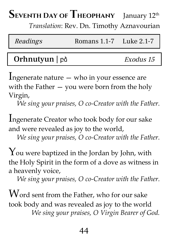## SEVENTH DAY OF THEOPHANY January  $12^{\text{th}}$

*Translation*: Rev. Dn. Timothy Aznavourian

| Readings | Romans 1.1-7 Luke 2.1-7 |  |
|----------|-------------------------|--|
|          |                         |  |

### Orhnutyun | բձ *Exodus 15*

Ingenerate nature — who in your essence are with the Father — you were born from the holy Virgin,

*We sing your praises, O co-Creator with the Father.*

Ingenerate Creator who took body for our sake and were revealed as joy to the world,

*We sing your praises, O co-Creator with the Father.*

 $\gamma$  ou were baptized in the Jordan by John, with the Holy Spirit in the form of a dove as witness in a heavenly voice,

*We sing your praises, O co-Creator with the Father.*

 $W$  ord sent from the Father, who for our sake took body and was revealed as joy to the world *We sing your praises, O Virgin Bearer of God.*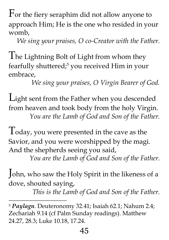For the fiery seraphim did not allow anyone to approach Him; He is the one who resided in your womb,

*We sing your praises, O co-Creator with the Father.*

The Lightning Bolt of Light from whom they fearfully shuttered; <sup>5</sup> you received Him in your embrace,

*We sing your praises, O Virgin Bearer of God.*

Light sent from the Father when you descended from heaven and took body from the holy Virgin. *You are the Lamb of God and Son of the Father.*

Today, you were presented in the cave as the Savior, and you were worshipped by the magi. And the shepherds seeing you said,

*You are the Lamb of God and Son of the Father.*

John, who saw the Holy Spirit in the likeness of <sup>a</sup> dove, shouted saying,

*This is the Lamb of God and Son of the Father.*

<sup>5</sup> *Paylagn*. Deuteronomy 32.41; Isaiah 62.1; Nahum 2.4; Zechariah 9.14 (cf Palm Sunday readings). Matthew 24.27, 28.3; Luke 10.18, 17.24.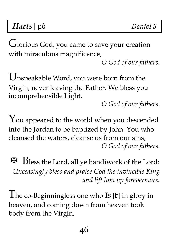## Harts | pδ Daniel 3

Glorious God, you came to save your creation with miraculous magnificence,

*O God of our fathers*.

Unspeakable Word, you were born from the Virgin, never leaving the Father. We bless you incomprehensible Light,

*O God of our fathers*.

You appeared to the world when you descended into the Jordan to be baptized by John. You who cleansed the waters, cleanse us from our sins, *O God of our fathers*.

✠ Bless the Lord, all ye handiwork of the Lord: *Unceasingly bless and praise God the invincible King and lift him up forevermore.*

The co-Beginningless one who **I<sup>S</sup>** [Է] in glory in heaven, and coming down from heaven took body from the Virgin,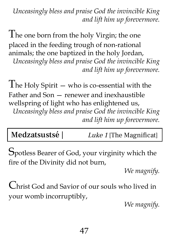*Unceasingly bless and praise God the invincible King and lift him up forevermore.*

The one born from the holy Virgin; the one placed in the feeding trough of non-rational animals; the one baptized in the holy Jordan,

*Unceasingly bless and praise God the invincible King and lift him up forevermore.*

 $\prod_{i=1}^{n}$  The Holy Spirit — who is co-essential with the Father and Son — renewer and inexhaustible wellspring of light who has enlightened us, *Unceasingly bless and praise God the invincible King and lift him up forevermore.*

Medzatsustsé | Luke 1 [The Magnificat]

Spotless Bearer of God, your virginity which the fire of the Divinity did not burn,

*We magnify.*

Christ God and Savior of our souls who lived in your womb incorruptibly,

*We magnify.*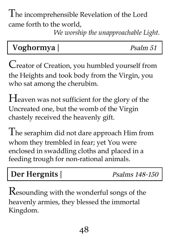The incomprehensible Revelation of the Lord came forth to the world,

*We worship the unapproachable Light.*

| Voghormya<br>Psalm 51 |
|-----------------------|
|-----------------------|

Creator of Creation, you humbled yourself from the Heights and took body from the Virgin, you who sat among the cherubim.

Heaven was not sufficient for the glory of the Uncreated one, but the womb of the Virgin chastely received the heavenly gift.

The seraphim did not dare approach Him from whom they trembled in fear; yet You were enclosed in swaddling cloths and placed in a feeding trough for non-rational animals.

### Der Hergnits | Psalms 148-150

Resounding with the wonderful songs of the heavenly armies, they blessed the immortal Kingdom.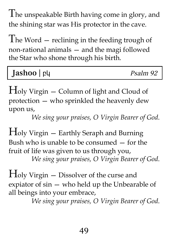The unspeakable Birth having come in glory, and the shining star was His protector in the cave.

The Word — reclining in the feeding trough of non-rational animals — and the magi followed the Star who shone through his birth.

| Jashoo   py | Psalm 92 |
|-------------|----------|
|-------------|----------|

Holy Virgin — Column of light and Cloud of protection — who sprinkled the heavenly dew upon us,

*We sing your praises, O Virgin Bearer of God*.

Holy Virgin — Earthly Seraph and Burning Bush who is unable to be consumed — for the fruit of life was given to us through you, *We sing your praises, O Virgin Bearer of God*.

Holy Virgin — Dissolver of the curse and expiator of sin — who held up the Unbearable of all beings into your embrace,

*We sing your praises, O Virgin Bearer of God*.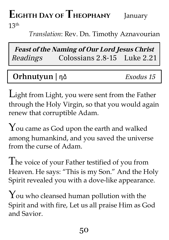# **Eighth Day ofTheophany** January

 $13<sup>th</sup>$ 

*Translation*: Rev. Dn. Timothy Aznavourian

**Feast of the Naming of Our Lord Jesus Christ** Readings Colossians 2.8-15 Luke 2.21

### Orhnutyun | ηδ *Exodus 15*

Light from Light, you were sent from the Father through the Holy Virgin, so that you would again renew that corruptible Adam.

You came as God upon the earth and walked among humankind, and you saved the universe from the curse of Adam.

The voice of your Father testified of you from Heaven. He says: "This is my Son." And the Holy Spirit revealed you with a dove-like appearance.

You who cleansed human pollution with the Spirit and with fire, Let us all praise Him as God and Savior.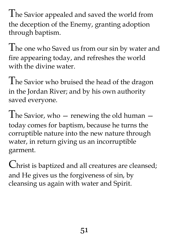The Savior appealed and saved the world from the deception of the Enemy, granting adoption through baptism.

The one who Saved us from our sin by water and fire appearing today, and refreshes the world with the divine water.

The Savior who bruised the head of the dragon in the Jordan River; and by his own authority saved everyone.

The Savior, who  $-$  renewing the old human  $$ today comes for baptism, because he turns the corruptible nature into the new nature through water, in return giving us an incorruptible garment.

Christ is baptized and all creatures are cleansed; and He gives us the forgiveness of sin, by cleansing us again with water and Spirit.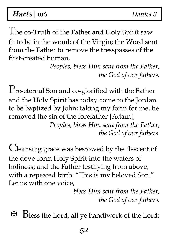Harts | und Daniel 3

The co-Truth of the Father and Holy Spirit saw fit to be in the womb of the Virgin; the Word sent from the Father to remove the tresspasses of the first-created human,

> *Peoples, bless Him sent from the Father, the God of our fathers.*

P<sub>re-eternal</sub> Son and co-glorified with the Father and the Holy Spirit has today come to the Jordan to be baptized by John; taking my form for me, he removed the sin of the forefather [Adam],

*Peoples, bless Him sent from the Father, the God of our fathers.*

Cleansing grace was bestowed by the descent of the dove-form Holy Spirit into the waters of holiness; and the Father testifying from above, with a repeated birth: "This is my beloved Son." Let us with one voice,

> *bless Him sent from the Father, the God of our fathers.*

✠ Bless the Lord, all ye handiwork of the Lord: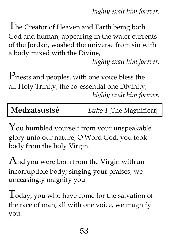*highly exalt him forever.*

The Creator of Heaven and Earth being both God and human, appearing in the water currents of the Jordan, washed the universe from sin with a body mixed with the Divine,

*highly exalt him forever.*

Priests and peoples, with one voice bless the all-Holy Trinity; the co-essential one Divinity, *highly exalt him forever.*

Medzatsustsé Luke 1 [The Magnificat]

You humbled yourself from your unspeakable glory unto our nature; O Word God, you took body from the holy Virgin.

And you were born from the Virgin with an incorruptible body; singing your praises, we unceasingly magnify you.

Today, you who have come for the salvation of the race of man, all with one voice, we magnify you.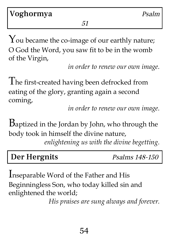Voghormya *Psalm* 

51

You became the co-image of our earthly nature; O God the Word, you saw fit to be in the womb of the Virgin,

*in order to renew our own image.*

The first-created having been defrocked from eating of the glory, granting again a second coming,

*in order to renew our own image.*

Baptized in the Jordan by John, who through the body took in himself the divine nature,

*enlightening us with the divine begetting.*

### Der Hergnits Psalms 148-150

Inseparable Word of the Father and His Beginningless Son, who today killed sin and enlightened the world;

*His praises are sung always and forever.*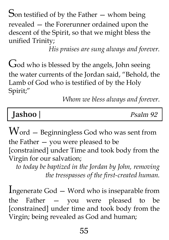Son testified of by the Father  $-$  whom being revealed — the Forerunner ordained upon the descent of the Spirit, so that we might bless the unified Trinity;

*His praises are sung always and forever.*

God who is blessed by the angels, John seeing the water currents of the Jordan said, "Behold, the Lamb of God who is testified of by the Holy Spirit; "

*Whom we bless always and forever.*

## Jashoo | Psalm 92

Word — Beginningless God who was sent from the Father — you were pleased to be [constrained] under Time and took body from the Virgin for our salvation;

*to today be baptized in the Jordan by John, removing the tresspasses of the first-created human.*

Ingenerate God — Word who is inseparable from the Father — you were pleased to be [constrained] under time and took body from the Virgin; being revealed as God and human;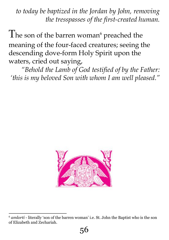*to today be baptized in the Jordan by John, removing the tresspasses of the first-created human.*

The son of the barren woman<sup>6</sup> preached the meaning of the four-faced creatures; seeing the descending dove-form Holy Spirit upon the waters, cried out saying,

*"Behold the Lamb of God testified of by the Father: 'this is my beloved Son with whom I am well pleased."*



<sup>6</sup> *amlorti* - literally 'son of the barren woman' i.e. St. John the Baptist who is the son of Elizabeth and Zechariah.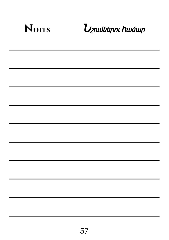| <b>NOTES</b> | <b>U</b> շումներու hամար |
|--------------|--------------------------|
|              |                          |
|              |                          |
|              |                          |
|              |                          |
|              |                          |
|              |                          |
|              |                          |
|              |                          |
|              |                          |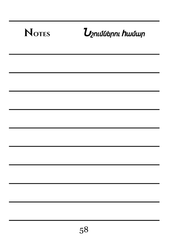| <b>NOTES</b> | $\boldsymbol{U}$ շումներու hամար |
|--------------|----------------------------------|
|              |                                  |
|              |                                  |
|              |                                  |
|              |                                  |
|              |                                  |
|              |                                  |
|              |                                  |
|              |                                  |